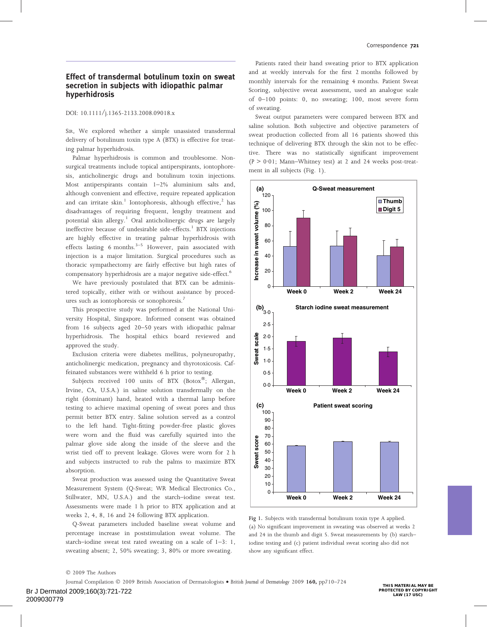# Effect of transdermal botulinum toxin on sweat secretion in subjects with idiopathic palmar hyperhidrosis

#### DOI: 10.1111/j.1365-2133.2008.09018.x

SIR, We explored whether a simple unassisted transdermal delivery of botulinum toxin type A (BTX) is effective for treating palmar hyperhidrosis.

Palmar hyperhidrosis is common and troublesome. Nonsurgical treatments include topical antiperspirants, iontophoresis, anticholinergic drugs and botulinum toxin injections. Most antiperspirants contain 1–2% aluminium salts and, although convenient and effective, require repeated application and can irritate skin.<sup>1</sup> Iontophoresis, although effective,<sup>2</sup> has disadvantages of requiring frequent, lengthy treatment and potential skin allergy.<sup>1</sup> Oral anticholinergic drugs are largely ineffective because of undesirable side-effects. $1$  BTX injections are highly effective in treating palmar hyperhidrosis with effects lasting 6 months. $3-5$  However, pain associated with injection is a major limitation. Surgical procedures such as thoracic sympathectomy are fairly effective but high rates of compensatory hyperhidrosis are a major negative side-effect.<sup>6</sup>

We have previously postulated that BTX can be administered topically, either with or without assistance by procedures such as iontophoresis or sonophoresis.<sup>7</sup>

This prospective study was performed at the National University Hospital, Singapore. Informed consent was obtained from 16 subjects aged 20–50 years with idiopathic palmar hyperhidrosis. The hospital ethics board reviewed and approved the study.

Exclusion criteria were diabetes mellitus, polyneuropathy, anticholinergic medication, pregnancy and thyrotoxicosis. Caffeinated substances were withheld 6 h prior to testing.

Subjects received 100 units of BTX (Botox®; Allergan, Irvine, CA, U.S.A.) in saline solution transdermally on the right (dominant) hand, heated with a thermal lamp before testing to achieve maximal opening of sweat pores and thus permit better BTX entry. Saline solution served as a control to the left hand. Tight-fitting powder-free plastic gloves were worn and the fluid was carefully squirted into the palmar glove side along the inside of the sleeve and the wrist tied off to prevent leakage. Gloves were worn for 2 h and subjects instructed to rub the palms to maximize BTX absorption.

Sweat production was assessed using the Quantitative Sweat Measurement System (Q-Sweat; WR Medical Electronics Co., Stillwater, MN, U.S.A.) and the starch–iodine sweat test. Assessments were made 1 h prior to BTX application and at weeks 2, 4, 8, 16 and 24 following BTX application.

Q-Sweat parameters included baseline sweat volume and percentage increase in poststimulation sweat volume. The starch–iodine sweat test rated sweating on a scale of 1–3: 1, sweating absent; 2, 50% sweating; 3, 80% or more sweating.

Patients rated their hand sweating prior to BTX application and at weekly intervals for the first 2 months followed by monthly intervals for the remaining 4 months. Patient Sweat Scoring, subjective sweat assessment, used an analogue scale of 0–100 points: 0, no sweating; 100, most severe form of sweating.

Sweat output parameters were compared between BTX and saline solution. Both subjective and objective parameters of sweat production collected from all 16 patients showed this technique of delivering BTX through the skin not to be effective. There was no statistically significant improvement  $(P > 0.01$ ; Mann–Whitney test) at 2 and 24 weeks post-treatment in all subjects (Fig. 1).



Fig 1. Subjects with transdermal botulinum toxin type A applied. (a) No significant improvement in sweating was observed at weeks 2 and 24 in the thumb and digit 5. Sweat measurements by (b) starch– iodine testing and (c) patient individual sweat scoring also did not show any significant effect.

© 2009 The Authors

Journal Compilation © 2009 British Association of Dermatologists • British Journal of Dermatology 2009 160, pp710-724

Br J Dermatol 2009;160(3):721-722 2009030779